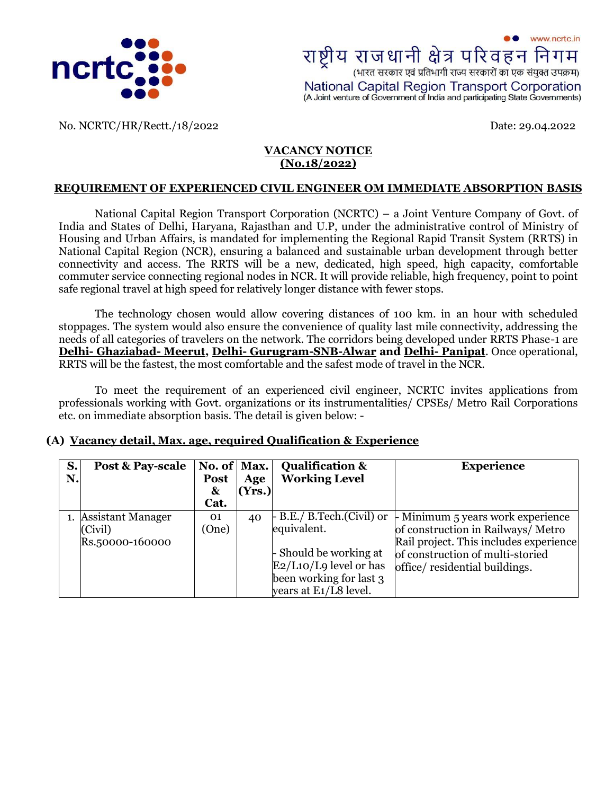

No. NCRTC/HR/Rectt./18/2022 Date: 29.04.2022

### **VACANCY NOTICE (No.18/2022)**

## **REQUIREMENT OF EXPERIENCED CIVIL ENGINEER OM IMMEDIATE ABSORPTION BASIS**

National Capital Region Transport Corporation (NCRTC) – a Joint Venture Company of Govt. of India and States of Delhi, Haryana, Rajasthan and U.P, under the administrative control of Ministry of Housing and Urban Affairs, is mandated for implementing the Regional Rapid Transit System (RRTS) in National Capital Region (NCR), ensuring a balanced and sustainable urban development through better connectivity and access. The RRTS will be a new, dedicated, high speed, high capacity, comfortable commuter service connecting regional nodes in NCR. It will provide reliable, high frequency, point to point safe regional travel at high speed for relatively longer distance with fewer stops.

The technology chosen would allow covering distances of 100 km. in an hour with scheduled stoppages. The system would also ensure the convenience of quality last mile connectivity, addressing the needs of all categories of travelers on the network. The corridors being developed under RRTS Phase-1 are **Delhi- Ghaziabad- Meerut, Delhi- [Gurugram-SNB-Alwar](http://ncrtc.in/delhi-alwar-corridor/) and Delhi- [Panipat](http://ncrtc.in/delhi-panipat-corridor/)**. Once operational, RRTS will be the fastest, the most comfortable and the safest mode of travel in the NCR.

To meet the requirement of an experienced civil engineer, NCRTC invites applications from professionals working with Govt. organizations or its instrumentalities/ CPSEs/ Metro Rail Corporations etc. on immediate absorption basis. The detail is given below: -

#### **(A) Vacancy detail, Max. age, required Qualification & Experience**

| S. | <b>Post &amp; Pay-scale</b> | No. of $\vert$ Max. |        | <b>Qualification &amp;</b>       | <b>Experience</b>                      |
|----|-----------------------------|---------------------|--------|----------------------------------|----------------------------------------|
| N. |                             | <b>Post</b>         | Age    | <b>Working Level</b>             |                                        |
|    |                             | $\mathbf{x}$        | (Yrs.) |                                  |                                        |
|    |                             | Cat.                |        |                                  |                                        |
|    | 1. Assistant Manager        | 01                  | 40     | $\vdash$ B.E./ B.Tech.(Civil) or | - Minimum 5 years work experience      |
|    | (Civil)                     | (One)               |        | equivalent.                      | of construction in Railways/Metro      |
|    | Rs.50000-160000             |                     |        |                                  | Rail project. This includes experience |
|    |                             |                     |        | - Should be working at           | of construction of multi-storied       |
|    |                             |                     |        | $E2/L10/L9$ level or has         | office/residential buildings.          |
|    |                             |                     |        | been working for last 3          |                                        |
|    |                             |                     |        | years at E1/L8 level.            |                                        |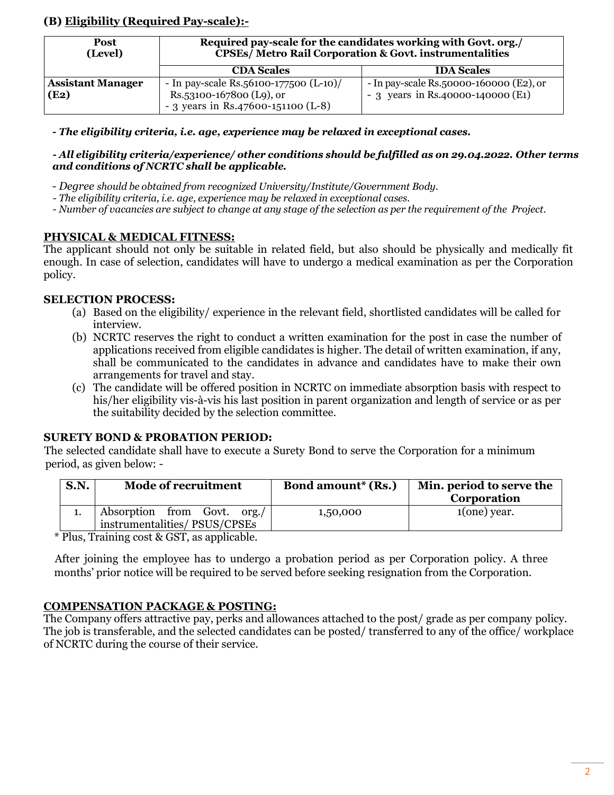# **(B) Eligibility (Required Pay-scale):-**

| Post<br>(Level)          | Required pay-scale for the candidates working with Govt. org./<br><b>CPSEs/ Metro Rail Corporation &amp; Govt. instrumentalities</b> |                                              |  |  |  |
|--------------------------|--------------------------------------------------------------------------------------------------------------------------------------|----------------------------------------------|--|--|--|
|                          | <b>CDA Scales</b>                                                                                                                    | <b>IDA Scales</b>                            |  |  |  |
| <b>Assistant Manager</b> | - In pay-scale Rs.56100-177500 $(L-10)$ /                                                                                            | - In pay-scale $Rs.50000-160000$ $(E2)$ , or |  |  |  |
| (E2)                     | Rs.53100-167800 (L9), or<br>- 3 years in Rs.47600-151100 (L-8)                                                                       | - 3 years in Rs.40000-140000 (E1)            |  |  |  |

*- The eligibility criteria, i.e. age, experience may be relaxed in exceptional cases.* 

#### *- All eligibility criteria/experience/ other conditions should be fulfilled as on 29.04.2022. Other terms and conditions of NCRTC shall be applicable.*

 *- Degree should be obtained from recognized University/Institute/Government Body.*

 *- The eligibility criteria, i.e. age, experience may be relaxed in exceptional cases.*

- Number of vacancies are subject to change at any stage of the selection as per the requirement of the Project.

## **PHYSICAL & MEDICAL FITNESS:**

The applicant should not only be suitable in related field, but also should be physically and medically fit enough. In case of selection, candidates will have to undergo a medical examination as per the Corporation policy.

## **SELECTION PROCESS:**

- (a) Based on the eligibility/ experience in the relevant field, shortlisted candidates will be called for interview.
- (b) NCRTC reserves the right to conduct a written examination for the post in case the number of applications received from eligible candidates is higher. The detail of written examination, if any, shall be communicated to the candidates in advance and candidates have to make their own arrangements for travel and stay.
- (c) The candidate will be offered position in NCRTC on immediate absorption basis with respect to his/her eligibility vis-à-vis his last position in parent organization and length of service or as per the suitability decided by the selection committee.

## **SURETY BOND & PROBATION PERIOD:**

 The selected candidate shall have to execute a Surety Bond to serve the Corporation for a minimum period, as given below: -

| <b>S.N.</b> | <b>Mode of recruitment</b>                                  | <b>Bond amount*</b> (Rs.) | Min. period to serve the<br>Corporation |
|-------------|-------------------------------------------------------------|---------------------------|-----------------------------------------|
|             | Absorption from Govt. org./<br>instrumentalities/PSUS/CPSEs | 1,50,000                  | $1(one)$ year.                          |
| $\sim$      | -- - -<br>$\sim$ $\sim$ $\sim$ $\sim$                       |                           |                                         |

\* Plus, Training cost & GST, as applicable.

 After joining the employee has to undergo a probation period as per Corporation policy. A three months' prior notice will be required to be served before seeking resignation from the Corporation.

# **COMPENSATION PACKAGE & POSTING:**

The Company offers attractive pay, perks and allowances attached to the post/ grade as per company policy. The job is transferable, and the selected candidates can be posted/ transferred to any of the office/ workplace of NCRTC during the course of their service.